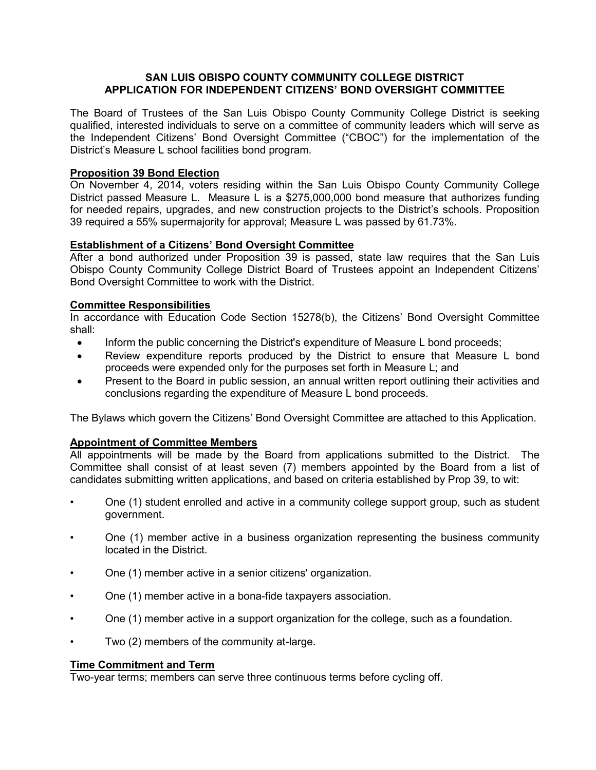# **SAN LUIS OBISPO COUNTY COMMUNITY COLLEGE DISTRICT APPLICATION FOR INDEPENDENT CITIZENS' BOND OVERSIGHT COMMITTEE**

The Board of Trustees of the San Luis Obispo County Community College District is seeking qualified, interested individuals to serve on a committee of community leaders which will serve as the Independent Citizens' Bond Oversight Committee ("CBOC") for the implementation of the District's Measure L school facilities bond program.

# **Proposition 39 Bond Election**

On November 4, 2014, voters residing within the San Luis Obispo County Community College District passed Measure L. Measure L is a \$275,000,000 bond measure that authorizes funding for needed repairs, upgrades, and new construction projects to the District's schools. Proposition 39 required a 55% supermajority for approval; Measure L was passed by 61.73%.

#### **Establishment of a Citizens' Bond Oversight Committee**

After a bond authorized under Proposition 39 is passed, state law requires that the San Luis Obispo County Community College District Board of Trustees appoint an Independent Citizens' Bond Oversight Committee to work with the District.

# **Committee Responsibilities**

In accordance with Education Code Section 15278(b), the Citizens' Bond Oversight Committee shall:

- Inform the public concerning the District's expenditure of Measure L bond proceeds;
- Review expenditure reports produced by the District to ensure that Measure L bond proceeds were expended only for the purposes set forth in Measure L; and
- Present to the Board in public session, an annual written report outlining their activities and conclusions regarding the expenditure of Measure L bond proceeds.

The Bylaws which govern the Citizens' Bond Oversight Committee are attached to this Application.

#### **Appointment of Committee Members**

All appointments will be made by the Board from applications submitted to the District. The Committee shall consist of at least seven (7) members appointed by the Board from a list of candidates submitting written applications, and based on criteria established by Prop 39, to wit:

- One (1) student enrolled and active in a community college support group, such as student government.
- One (1) member active in a business organization representing the business community located in the District.
- One (1) member active in a senior citizens' organization.
- One (1) member active in a bona-fide taxpayers association.
- One (1) member active in a support organization for the college, such as a foundation.
- Two (2) members of the community at-large.

# **Time Commitment and Term**

Two-year terms; members can serve three continuous terms before cycling off.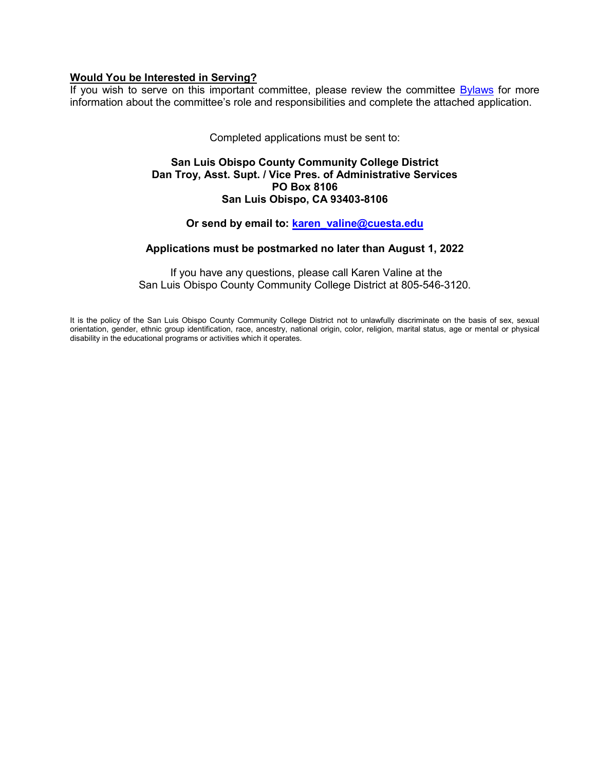#### **Would You be Interested in Serving?**

If you wish to serve on this important committee, please review the committee **Bylaws** for more information about the committee's role and responsibilities and complete the attached application.

Completed applications must be sent to:

#### **San Luis Obispo County Community College District Dan Troy, Asst. Supt. / Vice Pres. of Administrative Services PO Box 8106 San Luis Obispo, CA 93403-8106**

# **Or send by email to: [karen\\_valine@cuesta.edu](mailto:karen_valine@cuesta.edu)**

# **Applications must be postmarked no later than August 1, 2022**

If you have any questions, please call Karen Valine at the San Luis Obispo County Community College District at 805-546-3120.

It is the policy of the San Luis Obispo County Community College District not to unlawfully discriminate on the basis of sex, sexual orientation, gender, ethnic group identification, race, ancestry, national origin, color, religion, marital status, age or mental or physical disability in the educational programs or activities which it operates.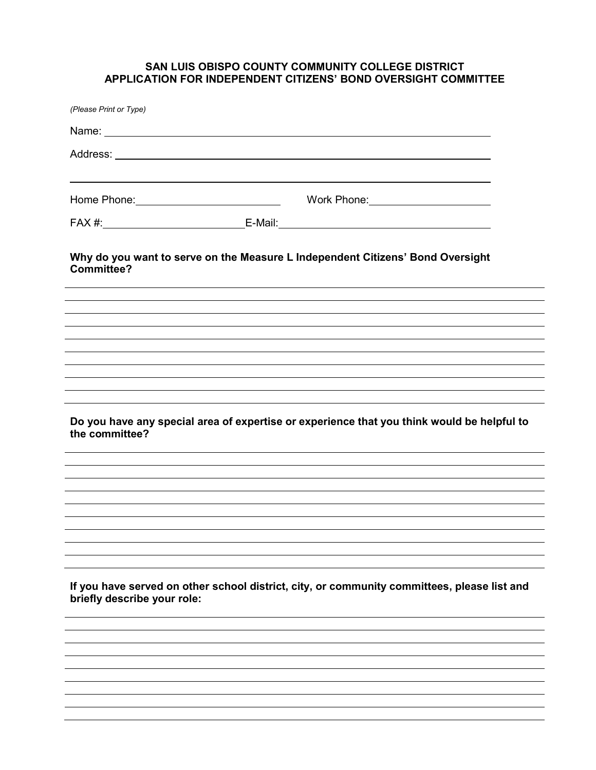# **SAN LUIS OBISPO COUNTY COMMUNITY COLLEGE DISTRICT APPLICATION FOR INDEPENDENT CITIZENS' BOND OVERSIGHT COMMITTEE**

| (Please Print or Type)                        |                                                                                                                                                                  |  |
|-----------------------------------------------|------------------------------------------------------------------------------------------------------------------------------------------------------------------|--|
|                                               |                                                                                                                                                                  |  |
|                                               |                                                                                                                                                                  |  |
|                                               | Home Phone: New York Changes and Separate Changes and Separate Changes and Separate Changes and Separate Changes<br>Work Phone: <u>_________________________</u> |  |
|                                               |                                                                                                                                                                  |  |
| <b>Committee?</b>                             | Why do you want to serve on the Measure L Independent Citizens' Bond Oversight                                                                                   |  |
|                                               |                                                                                                                                                                  |  |
|                                               |                                                                                                                                                                  |  |
|                                               |                                                                                                                                                                  |  |
|                                               |                                                                                                                                                                  |  |
|                                               | Do you have any special area of expertise or experience that you think would be helpful to                                                                       |  |
|                                               |                                                                                                                                                                  |  |
|                                               |                                                                                                                                                                  |  |
|                                               |                                                                                                                                                                  |  |
|                                               |                                                                                                                                                                  |  |
|                                               | If you have served on other school district, city, or community committees, please list and                                                                      |  |
|                                               |                                                                                                                                                                  |  |
|                                               |                                                                                                                                                                  |  |
|                                               |                                                                                                                                                                  |  |
| the committee?<br>briefly describe your role: |                                                                                                                                                                  |  |